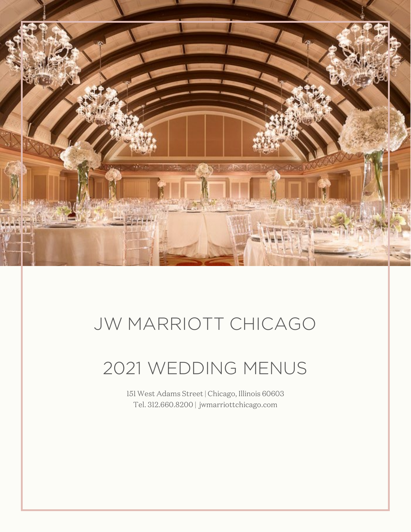

# JW MARRIOTT CHICAGO

# 2021 WEDDING MENUS

151 West Adams Street | Chicago, Illinois 60603 Tel. 312.660.8200 | jwmarriottchicago.com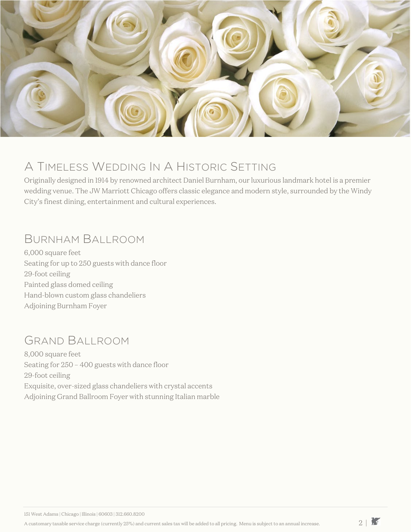

### A TIMELESS WEDDING IN A HISTORIC SETTING

Originally designed in 1914 by renowned architect Daniel Burnham, our luxurious landmark hotel is a premier wedding venue. The JW Marriott Chicago offers classic elegance and modern style, surrounded by the Windy City's finest dining, entertainment and cultural experiences.

### BURNHAM BALLROOM

6,000 square feet Seating for up to 250 guests with dance floor 29-foot ceiling Painted glass domed ceiling Hand-blown custom glass chandeliers Adjoining Burnham Foyer

## GRAND BALLROOM

8,000 square feet Seating for 250 – 400 guests with dance floor 29-foot ceiling Exquisite, over-sized glass chandeliers with crystal accents Adjoining Grand Ballroom Foyer with stunning Italian marble

151 West Adams | Chicago | Illinois | 60603 | 312.660.8200

A customary taxable service charge (currently 25%) and current sales tax will be added to all pricing. Menu is subject to an annual increase.  $2 \mid X$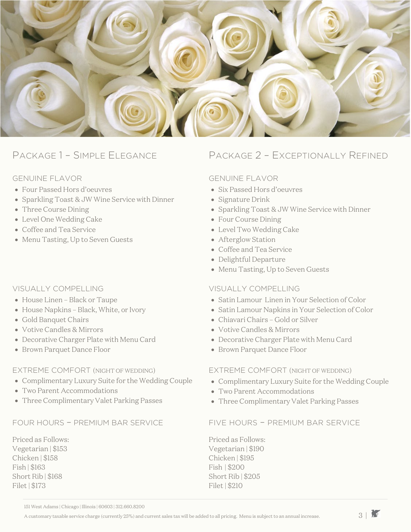

#### GENUINE FLAVOR

- Four Passed Hors d'oeuvres
- Sparkling Toast & JW Wine Service with Dinner
- Three Course Dining
- Level One Wedding Cake
- Coffee and Tea Service
- Menu Tasting, Up to Seven Guests

### VISUALLY COMPELLING

- House Linen Black or Taupe
- House Napkins Black, White, or Ivory
- Gold Banquet Chairs
- Votive Candles & Mirrors
- Decorative Charger Plate with Menu Card
- Brown Parquet Dance Floor

#### EXTREME COMFORT (NIGHT OF WEDDING)

- Complimentary Luxury Suite for the Wedding Couple
- Two Parent Accommodations
- Three Complimentary Valet Parking Passes

### FOUR HOURS – PREMIUM BAR SERVICE FIVE HOURS – PREMIUM BAR SERVICE

Priced as Follows: Vegetarian | \$153 Chicken | \$158 Fish | \$163 Short Rib | \$168 Filet | \$173

### PACKAGE 1 – SIMPLE ELEGANCE PACKAGE 2 – EXCEPTIONALLY REFINED

#### GENUINE FLAVOR

- Six Passed Hors d'oeuvres
- Signature Drink
- Sparkling Toast & JW Wine Service with Dinner
- Four Course Dining
- Level Two Wedding Cake
- Afterglow Station
- Coffee and Tea Service
- Delightful Departure
- Menu Tasting, Up to Seven Guests

#### VISUALLY COMPELLING

- Satin Lamour Linen in Your Selection of Color
- Satin Lamour Napkins in Your Selection of Color
- Chiavari Chairs Gold or Silver
- Votive Candles & Mirrors
- Decorative Charger Plate with Menu Card
- Brown Parquet Dance Floor

#### EXTREME COMFORT (NIGHT OF WEDDING)

- Complimentary Luxury Suite for the Wedding Couple
- Two Parent Accommodations
- Three Complimentary Valet Parking Passes

Priced as Follows: Vegetarian | \$190 Chicken | \$195 Fish | \$200 Short Rib | \$205 Filet | \$210

151 West Adams | Chicago | Illinois | 60603 | 312.660.8200

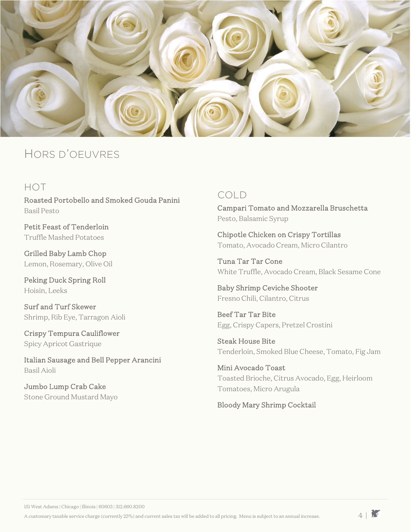

### HORS D'OEUVRES

### HOT

Roasted Portobello and Smoked Gouda Panini Basil Pesto

Petit Feast of Tenderloin Truffle Mashed Potatoes

Grilled Baby Lamb Chop Lemon, Rosemary, Olive Oil

Peking Duck Spring Roll Hoisin, Leeks

Surf and Turf Skewer Shrimp, Rib Eye, Tarragon Aioli

Crispy Tempura Cauliflower Spicy Apricot Gastrique

Italian Sausage and Bell Pepper Arancini Basil Aioli

Jumbo Lump Crab Cake Stone Ground Mustard Mayo

### COLD

Campari Tomato and Mozzarella Bruschetta Pesto, Balsamic Syrup

Chipotle Chicken on Crispy Tortillas Tomato, Avocado Cream, Micro Cilantro

Tuna Tar Tar Cone White Truffle, Avocado Cream, Black Sesame Cone

Baby Shrimp Ceviche Shooter Fresno Chili, Cilantro, Citrus

Beef Tar Tar Bite Egg, Crispy Capers, Pretzel Crostini

Steak House Bite Tenderloin, Smoked Blue Cheese, Tomato, Fig Jam

Mini Avocado Toast Toasted Brioche, Citrus Avocado, Egg, Heirloom Tomatoes, Micro Arugula

Bloody Mary Shrimp Cocktail

151 West Adams | Chicago | Illinois | 60603 | 312.660.8200

A customary taxable service charge (currently 25%) and current sales tax will be added to all pricing. Menu is subject to an annual increase.  $4|\mathbf{r}$ 

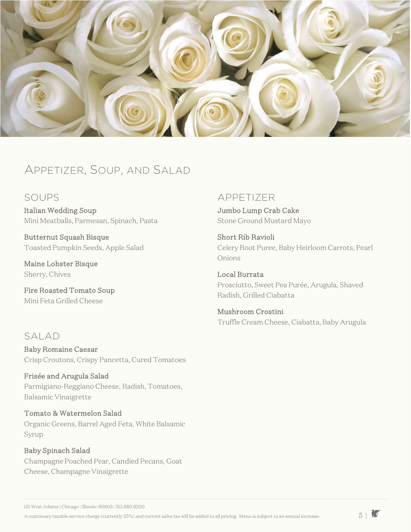

### APPETIZER, SOUP, AND SALAD

### SOUPS

Italian Wedding Soup Mini Meatballs, Parmesan, Spinach, Pasta

Butternut Squash Bisque Toasted Pumpkin Seeds, Apple Salad

Maine Lobster Bisque Sherry, Chives

Fire Roasted Tomato Soup Mini Feta Grilled Cheese

### SALAD

Baby Romaine Caesar Crisp Croutons, Crispy Pancetta, Cured Tomatoes

Frisée and Arugula Salad Parmigiano-Reggiano Cheese, Radish, Tomatoes, Balsamic Vinaigrette

Tomato & Watermelon Salad Organic Greens, Barrel Aged Feta, White Balsamic Syrup

Baby Spinach Salad Champagne Poached Pear, Candied Pecans, Goat Cheese, Champagne Vinaigrette

### APPETIZER

Jumbo Lump Crab Cake Stone Ground Mustard Mayo

Short Rib Ravioli Celery Root Puree, Baby Heirloom Carrots, Pearl Onions

Local Burrata Prosciutto, Sweet Pea Purée, Arugula, Shaved Radish, Grilled Ciabatta

Mushroom Crostini Truffle Cream Cheese, Ciabatta, Baby Arugula

151 West Adams | Chicago | Illinois | 60603 | 312.660.8200

A customary taxable service charge (currently 25%) and current sales tax will be added to all pricing. Menu is subject to an annual increase.  $5 \mid \overline{S}$ 

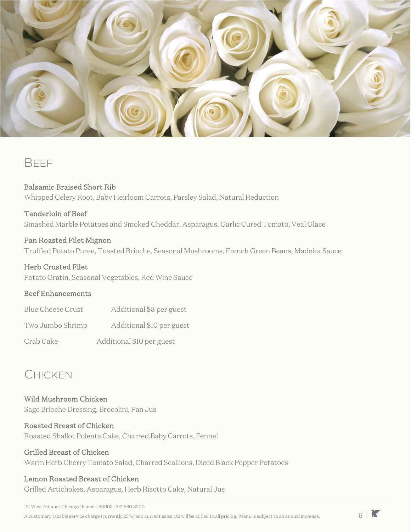

### **BFFF**

### Balsamic Braised Short Rib

Whipped Celery Root, Baby Heirloom Carrots, Parsley Salad, Natural Reduction

#### Tenderloin of Beef

Smashed Marble Potatoes and Smoked Cheddar, Asparagus, Garlic Cured Tomato, Veal Glace

### Pan Roasted Filet Mignon

Truffled Potato Puree, Toasted Brioche, Seasonal Mushrooms, French Green Beans, Madeira Sauce

#### Herb Crusted Filet

Potato Gratin, Seasonal Vegetables, Red Wine Sauce

#### Beef Enhancements

| <b>Blue Cheese Crust</b> | Additional \$8 per guest  |
|--------------------------|---------------------------|
| Two Jumbo Shrimp         | Additional \$10 per guest |
| Crab Cake                | Additional \$10 per guest |

### CHICKEN

Wild Mushroom Chicken Sage Brioche Dressing, Brocolini, Pan Jus

### Roasted Breast of Chicken

Roasted Shallot Polenta Cake, Charred Baby Carrots, Fennel

### Grilled Breast of Chicken

Warm Herb Cherry Tomato Salad, Charred Scallions, Diced Black Pepper Potatoes

### Lemon Roasted Breast of Chicken

Grilled Artichokes, Asparagus, Herb Risotto Cake, Natural Jus

151 West Adams | Chicago | Illinois | 60603 | 312.660.8200

A customary taxable service charge (currently 25%) and current sales tax will be added to all pricing. Menu is subject to an annual increase.  $6 \mid M$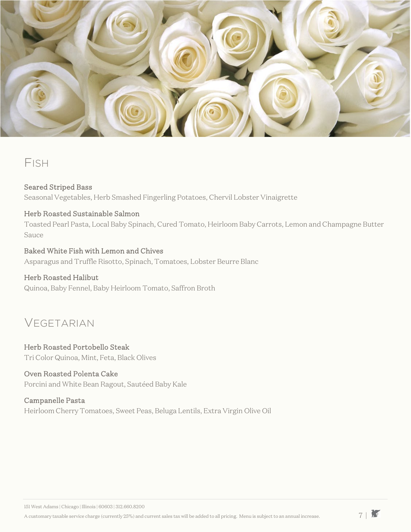

### FISH

### Seared Striped Bass

Seasonal Vegetables, Herb Smashed Fingerling Potatoes, Chervil Lobster Vinaigrette

### Herb Roasted Sustainable Salmon

Toasted Pearl Pasta, Local Baby Spinach, Cured Tomato, Heirloom Baby Carrots, Lemon and Champagne Butter Sauce

### Baked White Fish with Lemon and Chives

Asparagus and Truffle Risotto, Spinach, Tomatoes, Lobster Beurre Blanc

### Herb Roasted Halibut

Quinoa, Baby Fennel, Baby Heirloom Tomato, Saffron Broth

### VEGETARIAN

#### Herb Roasted Portobello Steak Tri Color Quinoa, Mint, Feta, Black Olives

### Oven Roasted Polenta Cake

Porcini and White Bean Ragout, Sautéed Baby Kale

### Campanelle Pasta

Heirloom Cherry Tomatoes, Sweet Peas, Beluga Lentils, Extra Virgin Olive Oil

A customary taxable service charge (currently 25%) and current sales tax will be added to all pricing. Menu is subject to an annual increase.  $7 \mid \overline{Y}$ 

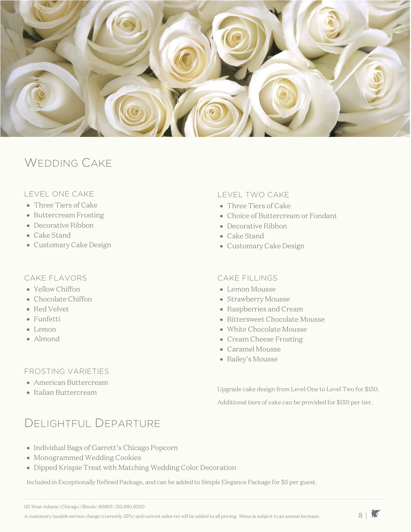

### WEDDING CAKE

### LEVEL ONE CAKE

- Three Tiers of Cake
- Buttercream Frosting
- Decorative Ribbon
- Cake Stand
- Customary Cake Design

#### CAKE FLAVORS

- Yellow Chiffon
- Chocolate Chiffon
- Red Velvet
- Funfetti
- Lemon
- Almond

### FROSTING VARIETIES

- American Buttercream
- Italian Buttercream

#### LEVEL TWO CAKE

- Three Tiers of Cake
- Choice of Buttercream or Fondant
- Decorative Ribbon
- Cake Stand
- Customary Cake Design

#### CAKE FILLINGS

- Lemon Mousse
- Strawberry Mousse
- Raspberries and Cream
- Bittersweet Chocolate Mousse
- White Chocolate Mousse
- Cream Cheese Frosting
- Caramel Mousse
- Bailey's Mousse

Upgrade cake design from Level One to Level Two for \$150. Additional tiers of cake can be provided for \$150 per tier.

## DELIGHTFUL DEPARTURE

- Individual Bags of Garrett's Chicago Popcorn
- Monogrammed Wedding Cookies
- Dipped Krispie Treat with Matching Wedding Color Decoration

Included in Exceptionally Refined Package, and can be added to Simple Elegance Package for \$5 per guest.

151 West Adams | Chicago | Illinois | 60603 | 312.660.8200

A customary taxable service charge (currently 25%) and current sales tax will be added to all pricing. Menu is subject to an annual increase.  $8\mid\overline{3}$ 

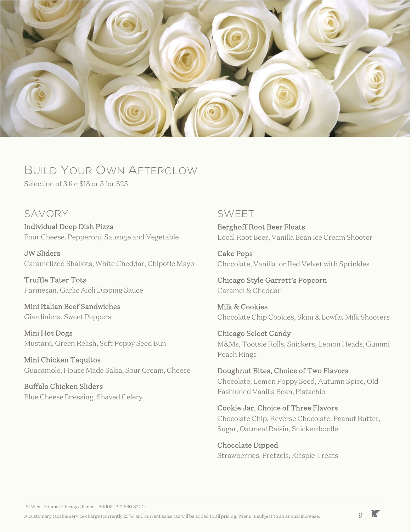

## BUILD YOUR OWN AFTERGLOW

Selection of 3 for \$18 or 5 for \$25

### SAVORY

Individual Deep Dish Pizza Four Cheese, Pepperoni, Sausage and Vegetable

JW Sliders Caramelized Shallots, White Cheddar, Chipotle Mayo

Truffle Tater Tots Parmesan, Garlic Aioli Dipping Sauce

Mini Italian Beef Sandwiches Giardiniera, Sweet Peppers

Mini Hot Dogs Mustard, Green Relish, Soft Poppy Seed Bun

Mini Chicken Taquitos Guacamole, House Made Salsa, Sour Cream, Cheese

Buffalo Chicken Sliders Blue Cheese Dressing, Shaved Celery

### SWEET

Berghoff Root Beer Floats Local Root Beer, Vanilla Bean Ice Cream Shooter

Cake Pops Chocolate, Vanilla, or Red Velvet with Sprinkles

Chicago Style Garrett's Popcorn Caramel & Cheddar

Milk & Cookies Chocolate Chip Cookies, Skim & Lowfat Milk Shooters

Chicago Select Candy M&Ms, Tootsie Rolls, Snickers, Lemon Heads, Gummi Peach Rings

Doughnut Bites, Choice of Two Flavors Chocolate, Lemon Poppy Seed, Autumn Spice, Old Fashioned Vanilla Bean, Pistachio

### Cookie Jar, Choice of Three Flavors

Chocolate Chip, Reverse Chocolate, Peanut Butter, Sugar, Oatmeal Raisin, Snickerdoodle

Chocolate Dipped Strawberries, Pretzels, Krispie Treats

151 West Adams | Chicago | Illinois | 60603 | 312.660.8200

A customary taxable service charge (currently 25%) and current sales tax will be added to all pricing. Menu is subject to an annual increase.  $9 \mid \tilde{M}$ 

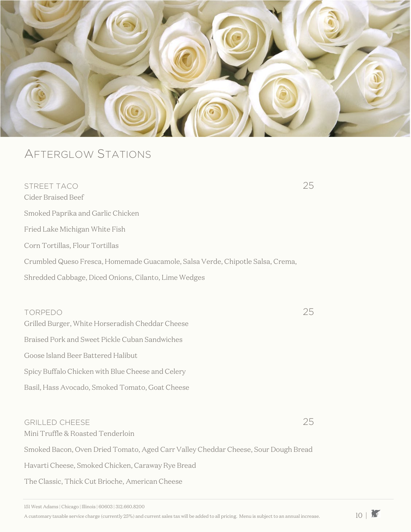

### AFTERGLOW STATIONS

STREET TACO 25 Cider Braised Beef Smoked Paprika and Garlic Chicken Fried Lake Michigan White Fish Corn Tortillas, Flour Tortillas Crumbled Queso Fresca, Homemade Guacamole, Salsa Verde, Chipotle Salsa, Crema, Shredded Cabbage, Diced Onions, Cilanto, Lime Wedges TORPEDO 25 Grilled Burger, White Horseradish Cheddar Cheese Braised Pork and Sweet Pickle Cuban Sandwiches Goose Island Beer Battered Halibut Spicy Buffalo Chicken with Blue Cheese and Celery Basil, Hass Avocado, Smoked Tomato, Goat Cheese

### GRILLED CHEESE 25 Mini Truffle & Roasted Tenderloin

Smoked Bacon, Oven Dried Tomato, Aged Carr Valley Cheddar Cheese, Sour Dough Bread Havarti Cheese, Smoked Chicken, Caraway Rye Bread The Classic, Thick Cut Brioche, American Cheese

151 West Adams | Chicago | Illinois | 60603 | 312.660.8200

A customary taxable service charge (currently 25%) and current sales tax will be added to all pricing. Menu is subject to an annual increase.  $10<sup>1</sup>$ 

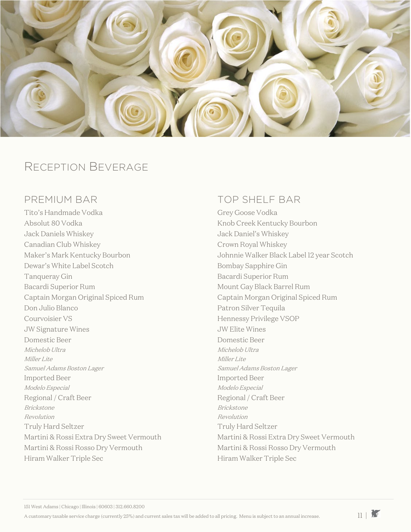

### RECEPTION BEVERAGE

### PREMIUM BAR

Tito's Handmade Vodka Absolut 80 Vodka Jack Daniels Whiskey Canadian Club Whiskey Maker's Mark Kentucky Bourbon Dewar's White Label Scotch Tanqueray Gin Bacardi Superior Rum Captain Morgan Original Spiced Rum Don Julio Blanco Courvoisier VS JW Signature Wines Domestic Beer Michelob Ultra Miller Lite Samuel Adams Boston Lager Imported Beer Modelo Especial Regional / Craft Beer Brickstone Revolution Truly Hard Seltzer Martini & Rossi Extra Dry Sweet Vermouth Martini & Rossi Rosso Dry Vermouth Hiram Walker Triple Sec

### TOP SHELF BAR

Grey Goose Vodka Knob Creek Kentucky Bourbon Jack Daniel's Whiskey Crown Royal Whiskey Johnnie Walker Black Label 12 year Scotch Bombay Sapphire Gin Bacardi Superior Rum Mount Gay Black Barrel Rum Captain Morgan Original Spiced Rum Patron Silver Tequila Hennessy Privilege VSOP JW Elite Wines Domestic Beer Michelob Ultra Miller Lite Samuel Adams Boston Lager Imported Beer Modelo Especial Regional / Craft Beer Brickstone Revolution Truly Hard Seltzer Martini & Rossi Extra Dry Sweet Vermouth Martini & Rossi Rosso Dry Vermouth Hiram Walker Triple Sec

A customary taxable service charge (currently 25%) and current sales tax will be added to all pricing. Menu is subject to an annual increase.  $11\downarrow$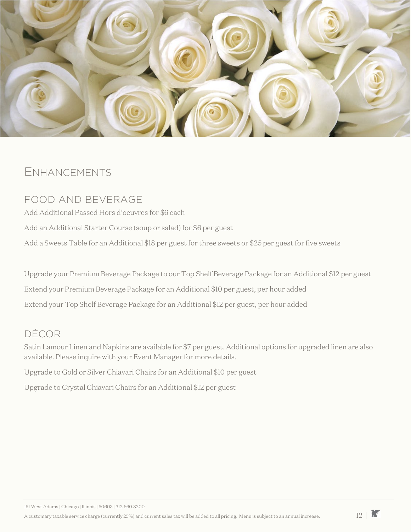

### ENHANCEMENTS

### FOOD AND BEVERAGE

Add Additional Passed Hors d'oeuvres for \$6 each Add an Additional Starter Course (soup or salad) for \$6 per guest Add a Sweets Table for an Additional \$18 per guest for three sweets or \$25 per guest for five sweets

Upgrade your Premium Beverage Package to our Top Shelf Beverage Package for an Additional \$12 per guest Extend your Premium Beverage Package for an Additional \$10 per guest, per hour added Extend your Top Shelf Beverage Package for an Additional \$12 per guest, per hour added

### DÉCOR

Satin Lamour Linen and Napkins are available for \$7 per guest. Additional options for upgraded linen are also available. Please inquire with your Event Manager for more details.

Upgrade to Gold or Silver Chiavari Chairs for an Additional \$10 per guest

Upgrade to Crystal Chiavari Chairs for an Additional \$12 per guest

A customary taxable service charge (currently 25%) and current sales tax will be added to all pricing. Menu is subject to an annual increase.  $12 \mid \mathbf{1}$